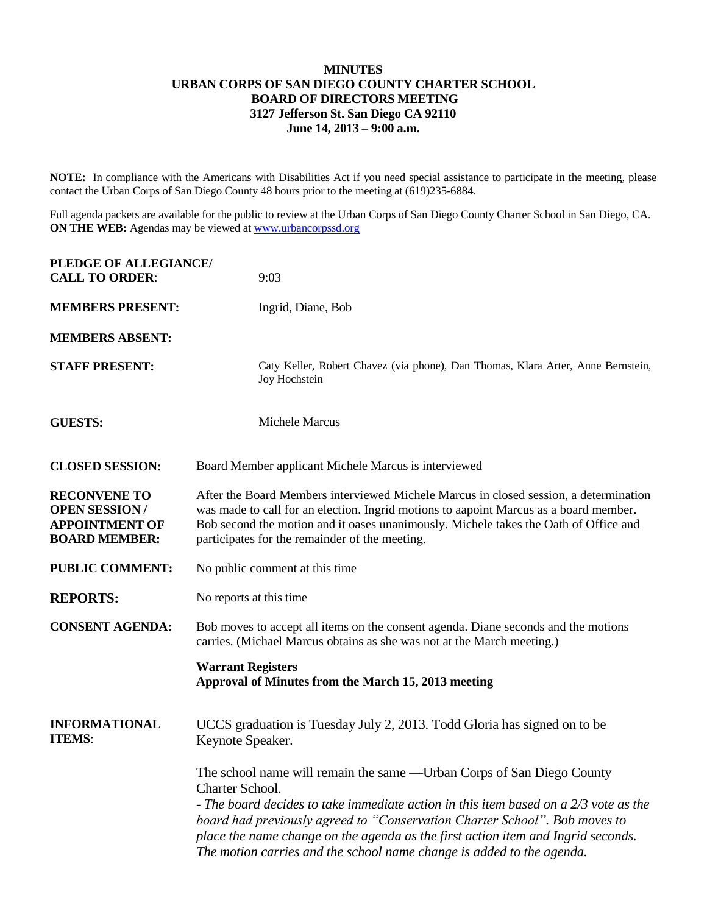## **MINUTES URBAN CORPS OF SAN DIEGO COUNTY CHARTER SCHOOL BOARD OF DIRECTORS MEETING 3127 Jefferson St. San Diego CA 92110 June 14, 2013 – 9:00 a.m.**

**NOTE:** In compliance with the Americans with Disabilities Act if you need special assistance to participate in the meeting, please contact the Urban Corps of San Diego County 48 hours prior to the meeting at (619)235-6884.

Full agenda packets are available for the public to review at the Urban Corps of San Diego County Charter School in San Diego, CA. **ON THE WEB:** Agendas may be viewed at [www.urbancorpssd.org](http://www.urbancorpssd.org/)

| PLEDGE OF ALLEGIANCE/<br><b>CALL TO ORDER:</b>                                               | 9:03                                                                                                                                                                                                                                                                                                                                                                                                                         |
|----------------------------------------------------------------------------------------------|------------------------------------------------------------------------------------------------------------------------------------------------------------------------------------------------------------------------------------------------------------------------------------------------------------------------------------------------------------------------------------------------------------------------------|
| <b>MEMBERS PRESENT:</b>                                                                      | Ingrid, Diane, Bob                                                                                                                                                                                                                                                                                                                                                                                                           |
| <b>MEMBERS ABSENT:</b>                                                                       |                                                                                                                                                                                                                                                                                                                                                                                                                              |
| <b>STAFF PRESENT:</b>                                                                        | Caty Keller, Robert Chavez (via phone), Dan Thomas, Klara Arter, Anne Bernstein,<br>Joy Hochstein                                                                                                                                                                                                                                                                                                                            |
| <b>GUESTS:</b>                                                                               | <b>Michele Marcus</b>                                                                                                                                                                                                                                                                                                                                                                                                        |
| <b>CLOSED SESSION:</b>                                                                       | Board Member applicant Michele Marcus is interviewed                                                                                                                                                                                                                                                                                                                                                                         |
| <b>RECONVENE TO</b><br><b>OPEN SESSION/</b><br><b>APPOINTMENT OF</b><br><b>BOARD MEMBER:</b> | After the Board Members interviewed Michele Marcus in closed session, a determination<br>was made to call for an election. Ingrid motions to aapoint Marcus as a board member.<br>Bob second the motion and it oases unanimously. Michele takes the Oath of Office and<br>participates for the remainder of the meeting.                                                                                                     |
| <b>PUBLIC COMMENT:</b>                                                                       | No public comment at this time                                                                                                                                                                                                                                                                                                                                                                                               |
| <b>REPORTS:</b>                                                                              | No reports at this time                                                                                                                                                                                                                                                                                                                                                                                                      |
| <b>CONSENT AGENDA:</b>                                                                       | Bob moves to accept all items on the consent agenda. Diane seconds and the motions<br>carries. (Michael Marcus obtains as she was not at the March meeting.)                                                                                                                                                                                                                                                                 |
|                                                                                              | <b>Warrant Registers</b><br>Approval of Minutes from the March 15, 2013 meeting                                                                                                                                                                                                                                                                                                                                              |
| <b>INFORMATIONAL</b><br><b>ITEMS:</b>                                                        | UCCS graduation is Tuesday July 2, 2013. Todd Gloria has signed on to be<br>Keynote Speaker.                                                                                                                                                                                                                                                                                                                                 |
|                                                                                              | The school name will remain the same - Urban Corps of San Diego County<br>Charter School.<br>- The board decides to take immediate action in this item based on a 2/3 vote as the<br>board had previously agreed to "Conservation Charter School". Bob moves to<br>place the name change on the agenda as the first action item and Ingrid seconds.<br>The motion carries and the school name change is added to the agenda. |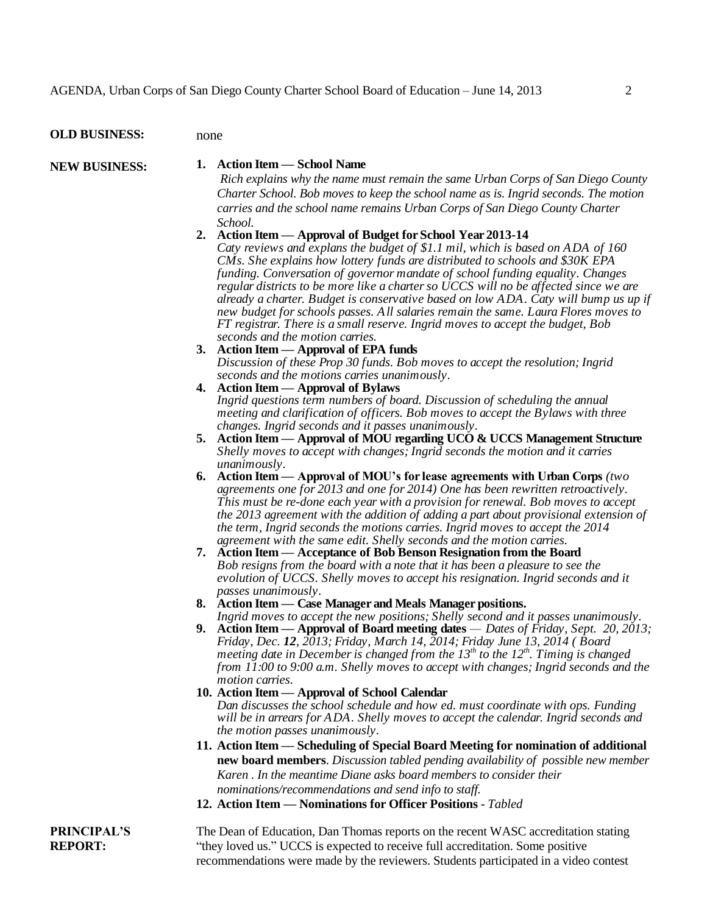| <b>OLD BUSINESS:</b> | none                                                                                                                                                                                                                                                                                                                                                                                                                                                                                                                                                                                                                                      |
|----------------------|-------------------------------------------------------------------------------------------------------------------------------------------------------------------------------------------------------------------------------------------------------------------------------------------------------------------------------------------------------------------------------------------------------------------------------------------------------------------------------------------------------------------------------------------------------------------------------------------------------------------------------------------|
| <b>NEW BUSINESS:</b> | <b>Action Item — School Name</b><br>1.                                                                                                                                                                                                                                                                                                                                                                                                                                                                                                                                                                                                    |
|                      | Rich explains why the name must remain the same Urban Corps of San Diego County<br>Charter School. Bob moves to keep the school name as is. Ingrid seconds. The motion                                                                                                                                                                                                                                                                                                                                                                                                                                                                    |
|                      | carries and the school name remains Urban Corps of San Diego County Charter<br>School.                                                                                                                                                                                                                                                                                                                                                                                                                                                                                                                                                    |
|                      | 2. Action Item — Approval of Budget for School Year 2013-14                                                                                                                                                                                                                                                                                                                                                                                                                                                                                                                                                                               |
|                      | Caty reviews and explans the budget of \$1.1 mil, which is based on ADA of 160<br>CMs. She explains how lottery funds are distributed to schools and \$30K EPA<br>funding. Conversation of governor mandate of school funding equality. Changes<br>regular districts to be more like a charter so UCCS will no be affected since we are<br>already a charter. Budget is conservative based on low ADA. Caty will bump us up if<br>new budget for schools passes. All salaries remain the same. Laura Flores moves to<br>FT registrar. There is a small reserve. Ingrid moves to accept the budget, Bob<br>seconds and the motion carries. |
|                      | 3. Action Item — Approval of EPA funds                                                                                                                                                                                                                                                                                                                                                                                                                                                                                                                                                                                                    |
|                      | Discussion of these Prop 30 funds. Bob moves to accept the resolution; Ingrid<br>seconds and the motions carries unanimously.                                                                                                                                                                                                                                                                                                                                                                                                                                                                                                             |
|                      | 4. Action Item — Approval of Bylaws                                                                                                                                                                                                                                                                                                                                                                                                                                                                                                                                                                                                       |
|                      | Ingrid questions term numbers of board. Discussion of scheduling the annual<br>meeting and clarification of officers. Bob moves to accept the Bylaws with three<br>changes. Ingrid seconds and it passes unanimously.                                                                                                                                                                                                                                                                                                                                                                                                                     |
|                      | 5. Action Item - Approval of MOU regarding UCO & UCCS Management Structure                                                                                                                                                                                                                                                                                                                                                                                                                                                                                                                                                                |
|                      | Shelly moves to accept with changes; Ingrid seconds the motion and it carries<br>unanimously.                                                                                                                                                                                                                                                                                                                                                                                                                                                                                                                                             |
|                      | 6. Action Item — Approval of MOU's for lease agreements with Urban Corps (two<br>agreements one for 2013 and one for 2014) One has been rewritten retroactively.<br>This must be re-done each year with a provision for renewal. Bob moves to accept<br>the 2013 agreement with the addition of adding a part about provisional extension of<br>the term, Ingrid seconds the motions carries. Ingrid moves to accept the 2014<br>agreement with the same edit. Shelly seconds and the motion carries.                                                                                                                                     |
|                      | Action Item — Acceptance of Bob Benson Resignation from the Board<br>7.<br>Bob resigns from the board with a note that it has been a pleasure to see the<br>evolution of UCCS. Shelly moves to accept his resignation. Ingrid seconds and it<br>passes unanimously.                                                                                                                                                                                                                                                                                                                                                                       |
|                      | 8. Action Item — Case Manager and Meals Manager positions.                                                                                                                                                                                                                                                                                                                                                                                                                                                                                                                                                                                |
|                      | Ingrid moves to accept the new positions; Shelly second and it passes unanimously.<br><b>9.</b> Action Item — Approval of Board meeting dates — Dates of Friday, Sept. 20, 2013;<br>Friday, Dec. 12, 2013; Friday, March 14, 2014; Friday June 13, 2014 (Board<br>meeting date in December is changed from the $13th$ to the $12th$ . Timing is changed<br>from 11:00 to 9:00 a.m. Shelly moves to accept with changes; Ingrid seconds and the<br>motion carries.                                                                                                                                                                         |
|                      | 10. Action Item - Approval of School Calendar                                                                                                                                                                                                                                                                                                                                                                                                                                                                                                                                                                                             |
|                      | Dan discusses the school schedule and how ed. must coordinate with ops. Funding<br>will be in arrears for ADA. Shelly moves to accept the calendar. Ingrid seconds and<br>the motion passes unanimously.                                                                                                                                                                                                                                                                                                                                                                                                                                  |
|                      | 11. Action Item — Scheduling of Special Board Meeting for nomination of additional<br>new board members. Discussion tabled pending availability of possible new member<br>Karen. In the meantime Diane asks board members to consider their<br>nominations/recommendations and send info to staff.                                                                                                                                                                                                                                                                                                                                        |
|                      | 12. Action Item — Nominations for Officer Positions - Tabled                                                                                                                                                                                                                                                                                                                                                                                                                                                                                                                                                                              |
| <b>PRINCIPAL'S</b>   | The Dean of Education, Dan Thomas reports on the recent WASC accreditation stating                                                                                                                                                                                                                                                                                                                                                                                                                                                                                                                                                        |
| <b>DEDADT</b>        | "they layed use?" HCCC is sympated to measure full again ditation. Comes no oiting                                                                                                                                                                                                                                                                                                                                                                                                                                                                                                                                                        |

**PRI REPORT:**

'they loved us." UCCS is expected to receive full accreditation. Some positive recommendations were made by the reviewers. Students participated in a video contest